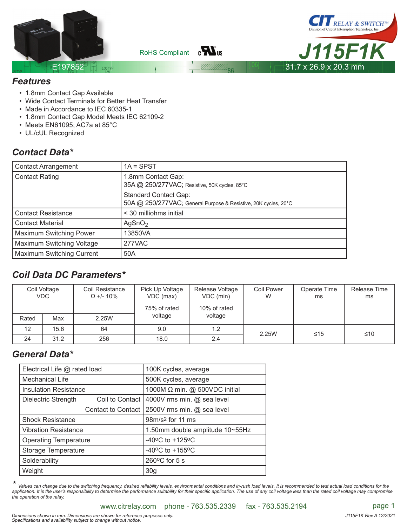

 $_{\rm B}H_{\rm us}$ RoHS Compliant



#### *Features*

- 1.8mm Contact Gap Available
- Wide Contact Terminals for Better Heat Transfer
- Made in Accordance to IEC 60335-1
- 1.8mm Contact Gap Model Meets IEC 62109-2
- Meets EN61095; AC7a at 85°C
- UL/cUL Recognized

### *Contact Data\**

| <b>Contact Arrangement</b>       | $1A = SPST$                                                                                     |
|----------------------------------|-------------------------------------------------------------------------------------------------|
| <b>Contact Rating</b>            | 1.8mm Contact Gap:<br>35A @ 250/277VAC; Resistive, 50K cycles, 85°C                             |
|                                  | <b>Standard Contact Gap:</b><br>50A @ 250/277VAC; General Purpose & Resistive, 20K cycles, 20°C |
| <b>Contact Resistance</b>        | < 30 milliohms initial                                                                          |
| <b>Contact Material</b>          | AgSnO <sub>2</sub>                                                                              |
| <b>Maximum Switching Power</b>   | 13850VA                                                                                         |
| Maximum Switching Voltage        | 277VAC                                                                                          |
| <b>Maximum Switching Current</b> | 50A                                                                                             |

## *Coil Data DC Parameters\**

| Coil Voltage<br><b>VDC</b> |      | Coil Resistance<br>$\Omega$ +/- 10% | Pick Up Voltage<br>VDC (max)<br>75% of rated | Release Voltage<br>VDC (min)<br>10% of rated | <b>Coil Power</b><br>W | Operate Time<br>ms | Release Time<br>ms |
|----------------------------|------|-------------------------------------|----------------------------------------------|----------------------------------------------|------------------------|--------------------|--------------------|
| Rated                      | Max  | 2.25W                               | voltage                                      | voltage                                      |                        |                    |                    |
| 12                         | 15.6 | 64                                  | 9.0                                          | 1.2                                          | 2.25W                  | $≤15$              | ≤10                |
| 24                         | 31.2 | 256                                 | 18.0                                         | 2.4                                          |                        |                    |                    |

#### *General Data\**

| Electrical Life @ rated load |                    | 100K cycles, average                |  |  |  |
|------------------------------|--------------------|-------------------------------------|--|--|--|
| Mechanical Life              |                    | 500K cycles, average                |  |  |  |
| <b>Insulation Resistance</b> |                    | 1000M Ω min. @ 500VDC initial       |  |  |  |
| Dielectric Strength          | Coil to Contact    | 4000V rms min. @ sea level          |  |  |  |
|                              | Contact to Contact | 2500V rms min. @ sea level          |  |  |  |
| <b>Shock Resistance</b>      |                    | 98m/s <sup>2</sup> for 11 ms        |  |  |  |
| <b>Vibration Resistance</b>  |                    | 1.50mm double amplitude 10~55Hz     |  |  |  |
| <b>Operating Temperature</b> |                    | $-40^{\circ}$ C to $+125^{\circ}$ C |  |  |  |
| Storage Temperature          |                    | $-40^{\circ}$ C to $+155^{\circ}$ C |  |  |  |
| Solderability                |                    | $260^{\circ}$ C for 5 s             |  |  |  |
| Weight                       |                    | 30 <sub>g</sub>                     |  |  |  |

Values can change due to the switching frequency, desired reliability levels, environmental conditions and in-rush load levels. It is recommended to test actual load conditions for the application. It is the user's responsibility to determine the performance suitability for their specific application. The use of any coil voltage less than the rated coil voltage may compromise *the operation of the relay.*

www.citrelay.com phone - 763.535.2339 fax - 763.535.2194 page 1

Dimensions shown in mm. Dimensions are shown for reference purposes only.<br>Specifications and availability subject to change without notice.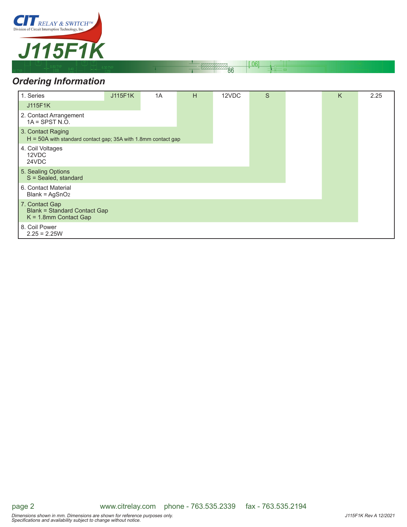

# *Ordering Information*

| 1. Series                                                                            | J115F1K | 1A | н | 12VDC | S | K | 2.25 |
|--------------------------------------------------------------------------------------|---------|----|---|-------|---|---|------|
| J115F1K                                                                              |         |    |   |       |   |   |      |
| 2. Contact Arrangement<br>$1A =$ SPST N.O.                                           |         |    |   |       |   |   |      |
| 3. Contact Raging<br>$H = 50A$ with standard contact gap; 35A with 1.8mm contact gap |         |    |   |       |   |   |      |
| 4. Coil Voltages<br>12VDC<br>24VDC                                                   |         |    |   |       |   |   |      |
| 5. Sealing Options<br>S = Sealed, standard                                           |         |    |   |       |   |   |      |
| 6. Contact Material<br>$Blank = AgSnO2$                                              |         |    |   |       |   |   |      |
| 7. Contact Gap<br><b>Blank = Standard Contact Gap</b><br>$K = 1.8$ mm Contact Gap    |         |    |   |       |   |   |      |
| 8. Coil Power<br>$2.25 = 2.25W$                                                      |         |    |   |       |   |   |      |

 $[.06]$ 

 $\overline{86}$ 

page 2